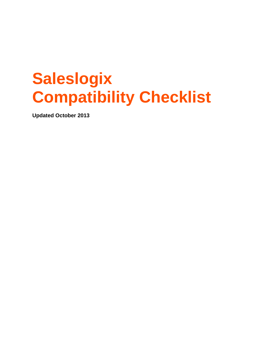# **Saleslogix Compatibility Checklist**

**Updated October 2013**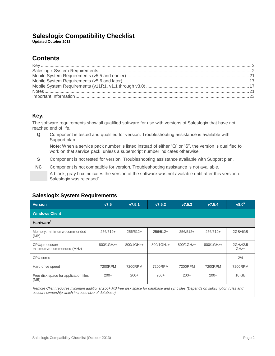## **Saleslogix Compatibility Checklist**

**Updated October 2013**

# **Contents**

### <span id="page-1-0"></span>**Key.**

The software requirements show all qualified software for use with versions of Saleslogix that have not reached end of life.

**Q** Component is tested and qualified for version. Troubleshooting assistance is available with Support plan.

**Note**: When a service pack number is listed instead of either "Q" or "S", the version is qualified to work on that service pack, unless a superscript number indicates otherwise.

- **S** Component is not tested for version. Troubleshooting assistance available with Support plan.
- **NC** Component is not compatible for version. Troubleshooting assistance is not available.

A blank, gray box indicates the version of the software was not available until after this version of Saleslogix was released $2$ .

### <span id="page-1-1"></span>**Saleslogix System Requirements**

| <b>Version</b>                                                                                                                                                                         | V7.5       | V7.5.1     | V7.5.2     | V7.5.3     | V7.5.4     | v8.0 <sup>5</sup> |  |  |
|----------------------------------------------------------------------------------------------------------------------------------------------------------------------------------------|------------|------------|------------|------------|------------|-------------------|--|--|
| <b>Windows Client</b>                                                                                                                                                                  |            |            |            |            |            |                   |  |  |
| Hardware <sup>1</sup>                                                                                                                                                                  |            |            |            |            |            |                   |  |  |
| Memory: minimum/recommended<br>(MB)                                                                                                                                                    | $256/512+$ | $256/512+$ | $256/512+$ | $256/512+$ | $256/512+$ | 2GB/4GB           |  |  |
| CPU/processor/<br>minimum/recommended (MHz)                                                                                                                                            | 800/1GHz+  | 800/1GHz+  | 800/1GHz+  | 800/1GHz+  | 800/1GHz+  | 2GHz/2.5<br>GHz+  |  |  |
| CPU cores                                                                                                                                                                              |            |            |            |            |            | 2/4               |  |  |
| Hard drive speed                                                                                                                                                                       | 7200RPM    | 7200RPM    | 7200RPM    | 7200RPM    | 7200RPM    | 7200RPM           |  |  |
| Free disk space for application files<br>(MB)                                                                                                                                          | $200+$     | $200+$     | $200+$     | $200+$     | $200+$     | 10 GB             |  |  |
| Remote Client requires minimum additional 250+ MB free disk space for database and sync files (Depends on subscription rules and<br>account ownership which increase size of database) |            |            |            |            |            |                   |  |  |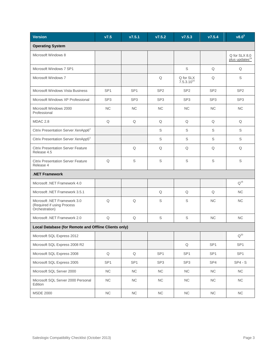| <b>Version</b>                                                               | V7.5            | V7.5.1          | V7.5.2          | V7.5.3                       | V7.5.4          | v8.0 <sup>5</sup>                           |  |  |
|------------------------------------------------------------------------------|-----------------|-----------------|-----------------|------------------------------|-----------------|---------------------------------------------|--|--|
| <b>Operating System</b>                                                      |                 |                 |                 |                              |                 |                                             |  |  |
| Microsoft Windows 8                                                          |                 |                 |                 |                              |                 | Q for SLX 8.0<br>plus updates <sup>24</sup> |  |  |
| Microsoft Windows 7 SP1                                                      |                 |                 |                 | S                            | Q               | Q                                           |  |  |
| Microsoft Windows 7                                                          |                 |                 | Q               | Q for SLX<br>$7.5.3.10^{15}$ | Q               | S                                           |  |  |
| Microsoft Windows Vista Business                                             | SP <sub>1</sub> | SP <sub>1</sub> | SP <sub>2</sub> | SP <sub>2</sub>              | SP <sub>2</sub> | SP <sub>2</sub>                             |  |  |
| Microsoft Windows XP Professional                                            | SP <sub>3</sub> | SP <sub>3</sub> | SP <sub>3</sub> | SP <sub>3</sub>              | SP <sub>3</sub> | SP <sub>3</sub>                             |  |  |
| Microsoft Windows 2000<br>Professional                                       | <b>NC</b>       | <b>NC</b>       | NC              | <b>NC</b>                    | <b>NC</b>       | NC                                          |  |  |
| MDAC 2.8                                                                     | Q               | Q               | Q               | Q                            | Q               | Q                                           |  |  |
| Citrix Presentation Server XenApp6 <sup>2</sup>                              |                 |                 | S               | S                            | S               | S                                           |  |  |
| Citrix Presentation Server XenApp5 <sup>2</sup>                              |                 |                 | $\mathbb S$     | S                            | S               | S                                           |  |  |
| <b>Citrix Presentation Server Feature</b><br>Release 4.5                     |                 | Q               | Q               | Q                            | Q               | Q                                           |  |  |
| <b>Citrix Presentation Server Feature</b><br>Release 4                       | $\mathsf Q$     | $\mathbb S$     | $\mathbb S$     | $\mathbb S$                  | S               | S                                           |  |  |
| <b>NET Framework.</b>                                                        |                 |                 |                 |                              |                 |                                             |  |  |
| Microsoft .NET Framework 4.0                                                 |                 |                 |                 |                              |                 | $Q^{16}$                                    |  |  |
| Microsoft .NET Framework 3.5.1                                               |                 |                 | Q               | Q                            | Q               | NC                                          |  |  |
| Microsoft .NET Framework 3.0<br>(Required if using Process<br>Orchestration) | Q               | Q               | S               | S                            | <b>NC</b>       | <b>NC</b>                                   |  |  |
| Microsoft .NET Framework 2.0                                                 | Q               | Q               | $\mathbb S$     | $\mathbb S$                  | <b>NC</b>       | <b>NC</b>                                   |  |  |
| Local Database (for Remote and Offline Clients only)                         |                 |                 |                 |                              |                 |                                             |  |  |
| Microsoft SQL Express 2012                                                   |                 |                 |                 |                              |                 | $Q^{20}$                                    |  |  |
| Microsoft SQL Express 2008 R2                                                |                 |                 |                 | $\mathsf Q$                  | SP <sub>1</sub> | SP <sub>1</sub>                             |  |  |
| Microsoft SQL Express 2008                                                   | Q               | Q               | SP <sub>1</sub> | SP <sub>1</sub>              | SP <sub>1</sub> | SP <sub>1</sub>                             |  |  |
| Microsoft SQL Express 2005                                                   | SP <sub>1</sub> | SP <sub>1</sub> | SP <sub>3</sub> | SP <sub>3</sub>              | SP4             | $SP4 - S$                                   |  |  |
| Microsoft SQL Server 2000                                                    | ${\sf NC}$      | NC              | $\sf NC$        | ${\sf NC}$                   | NC              | $\sf NC$                                    |  |  |
| Microsoft SQL Server 2000 Personal<br>Edition                                | ${\sf NC}$      | ${\sf NC}$      | $\sf NC$        | ${\sf NC}$                   | $NC$            | $\sf NC$                                    |  |  |
| <b>MSDE 2000</b>                                                             | ${\sf NC}$      | ${\sf NC}$      | $\sf NC$        | ${\sf NC}$                   | $NC$            | $\sf NC$                                    |  |  |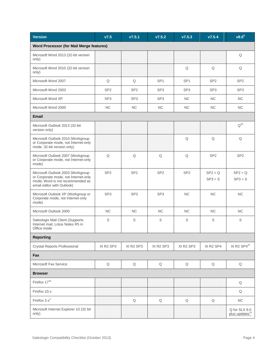| <b>Version</b>                                                                                                                              | V7.5                              | v7.5.1          | V7.5.2          | V7.5.3                            | V7.5.4                 | v8.0 <sup>5</sup>                           |
|---------------------------------------------------------------------------------------------------------------------------------------------|-----------------------------------|-----------------|-----------------|-----------------------------------|------------------------|---------------------------------------------|
| Word Processor (for Mail Merge features)                                                                                                    |                                   |                 |                 |                                   |                        |                                             |
| Microsoft Word 2013 (32-bit version<br>only)                                                                                                |                                   |                 |                 |                                   |                        | Q                                           |
| Microsoft Word 2010 (32-bit version<br>only)                                                                                                |                                   |                 |                 | Q                                 | $\mathsf Q$            | Q                                           |
| Microsoft Word 2007                                                                                                                         | Q                                 | Q               | SP <sub>1</sub> | SP <sub>1</sub>                   | SP <sub>2</sub>        | SP <sub>2</sub>                             |
| Microsoft Word 2003                                                                                                                         | SP <sub>2</sub>                   | SP <sub>2</sub> | SP <sub>3</sub> | SP <sub>3</sub>                   | SP <sub>3</sub>        | SP <sub>3</sub>                             |
| Microsoft Word XP                                                                                                                           | SP <sub>3</sub>                   | SP <sub>3</sub> | SP <sub>3</sub> | <b>NC</b>                         | NC                     | <b>NC</b>                                   |
| Microsoft Word 2000                                                                                                                         | <b>NC</b>                         | <b>NC</b>       | NC              | NC                                | NC                     | NC.                                         |
| <b>Email</b>                                                                                                                                |                                   |                 |                 |                                   |                        |                                             |
| Microsoft Outlook 2013 (32-bit<br>version only)                                                                                             |                                   |                 |                 |                                   |                        | $Q^{26}$                                    |
| Microsoft Outlook 2010 (Workgroup<br>or Corporate mode, not Internet-only<br>mode. 32-bit version only)                                     |                                   |                 |                 | Q                                 | Q                      | Q                                           |
| Microsoft Outlook 2007 (Workgroup<br>or Corporate mode, not Internet-only<br>mode)                                                          | $\mathsf Q$                       | Q               | Q               | Q                                 | SP <sub>2</sub>        | SP <sub>2</sub>                             |
| Microsoft Outlook 2003 (Workgroup<br>or Corporate mode, not Internet-only<br>mode; Word is not recommended as<br>email editor with Outlook) | SP <sub>2</sub>                   | SP <sub>2</sub> | SP <sub>2</sub> | SP <sub>2</sub>                   | $SP2 = Q$<br>$SP3 = S$ | $SP2 = Q$<br>$SP3 = S$                      |
| Microsoft Outlook XP (Workgroup or<br>Corporate mode, not Internet-only<br>mode)                                                            | SP <sub>3</sub>                   | SP <sub>3</sub> | SP <sub>3</sub> | NC                                | <b>NC</b>              | $NC$                                        |
| Microsoft Outlook 2000                                                                                                                      | <b>NC</b>                         | <b>NC</b>       | <b>NC</b>       | <b>NC</b>                         | <b>NC</b>              | NC.                                         |
| Saleslogix Mail Client (Supports<br>Internet mail, Lotus Notes R5 in<br>Office mode                                                         | S                                 | S               | $\mathbb S$     | S                                 | S                      | S                                           |
| <b>Reporting</b>                                                                                                                            |                                   |                 |                 |                                   |                        |                                             |
| <b>Crystal Reports Professional</b>                                                                                                         | XI R <sub>2</sub> SP <sub>3</sub> | XI R2 SP3       | XI R2 SP3       | XI R <sub>2</sub> SP <sub>3</sub> | XI R2 SP4              | XI R2 SP4 <sup>22</sup>                     |
| Fax                                                                                                                                         |                                   |                 |                 |                                   |                        |                                             |
| Microsoft Fax Service                                                                                                                       | $\mathsf Q$                       | $\mathsf Q$     | $\mathsf Q$     | $\mathsf Q$                       | $\mathsf Q$            | $\mathsf Q$                                 |
| <b>Browser</b>                                                                                                                              |                                   |                 |                 |                                   |                        |                                             |
| Firefox $17^{25}$                                                                                                                           |                                   |                 |                 |                                   |                        | Q                                           |
| Firefox 10.x                                                                                                                                |                                   |                 |                 |                                   |                        | Q                                           |
| Firefox $3.x^3$                                                                                                                             |                                   | Q               | Q               | Q                                 | Q                      | NC                                          |
| Microsoft Internet Explorer 10 (32 bit<br>only)                                                                                             |                                   |                 |                 |                                   |                        | Q for SLX 8.0<br>plus updates <sup>24</sup> |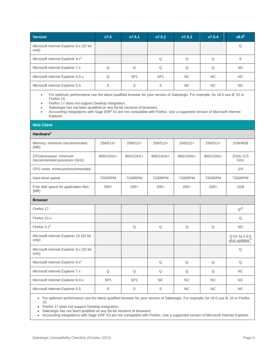| <b>Version</b>                                   | V7.5 | V7.5.1          | V7.5.2          | V7.5.3    | V7.5.4   | $v8.0^5$  |
|--------------------------------------------------|------|-----------------|-----------------|-----------|----------|-----------|
| Microsoft Internet Explorer 9.x (32 bit<br>only) |      |                 |                 |           |          |           |
| Microsoft Internet Explorer 8.x <sup>4</sup>     |      |                 |                 |           | Q        | S         |
| Microsoft Internet Explorer 7.x                  |      | Q               |                 | Q         | $\Omega$ | NC.       |
| Microsoft Internet Explorer 6.0.x                |      | SP <sub>1</sub> | SP <sub>1</sub> | NC.       | NC.      | NC.       |
| Microsoft Internet Explorer 5.5                  | S    | S               | S               | <b>NC</b> | NC.      | <b>NC</b> |

 For optimum performance use the latest qualified browser for your version of Saleslogix. For example, for v8.0 use IE 10 or Firefox 10.

• Firefox 17 does not support Desktop Integration.

• Saleslogix has not been qualified on any 64-bit versions of browsers.

 Accounting Integrations with Sage ERP X3 are not compatible with Firefox. Use a supported version of Microsoft Internet Explorer.

### **Web Client**

#### **Hardware<sup>1</sup>**

| Memory: minimum /recommended<br>(MB)                   | $256/512+$      | $256/512+$      | $256/512+$ | $256/512+$ | $256/512+$ | 2GB/4GB                                     |
|--------------------------------------------------------|-----------------|-----------------|------------|------------|------------|---------------------------------------------|
| CPU/processor: minimum<br>/recommended processor (GHz) | 800/1GHz+       | 800/1GHz+       | 800/1GHz+  | 800/1GHz+  | 800/1GHz+  | 2GHz /2.5<br>GHz                            |
| CPU cores: minimum/recommended                         |                 |                 |            |            |            | 2/4                                         |
| Hard drive speed                                       | 7200RPM         | 7200RPM         | 7200RPM    | 7200RPM    | 7200RPM    | 7200RPM                                     |
| Free disk space for application files<br>(MB)          | $200+$          | $200+$          | $200+$     | $200+$     | $200+$     | 1GB                                         |
| <b>Browser</b>                                         |                 |                 |            |            |            |                                             |
| Firefox 17                                             |                 |                 |            |            |            | $Q^{25}$                                    |
| Firefox 10.x                                           |                 |                 |            |            |            | Q                                           |
| Firefox $3.x^3$                                        |                 | Q               | Q          | Q          | Q          | <b>NC</b>                                   |
| Microsoft Internet Explorer 10 (32 bit<br>only)        |                 |                 |            |            |            | Q for SLX 8.0<br>plus updates <sup>24</sup> |
| Microsoft Internet Explorer 9.x (32 bit<br>only)       |                 |                 |            |            |            | Q                                           |
| Microsoft Internet Explorer 8.x <sup>4</sup>           |                 |                 | Q          | Q          | Q          | Q                                           |
| Microsoft Internet Explorer 7.x                        | Q               | Q               | Q          | Q          | Q          | <b>NC</b>                                   |
| Microsoft Internet Explorer 6.0.x                      | SP <sub>1</sub> | SP <sub>1</sub> | <b>NC</b>  | <b>NC</b>  | <b>NC</b>  | <b>NC</b>                                   |
| Microsoft Internet Explorer 5.5                        | S               | S               | S          | <b>NC</b>  | <b>NC</b>  | <b>NC</b>                                   |

 For optimum performance use the latest qualified browser for your version of Saleslogix. For example, for v8.0 use IE 10 or Firefox 10.

• Firefox 17 does not support Desktop Integration.

• Saleslogix has not been qualified on any 64-bit versions of browsers.

Accounting Integrations with Sage ERP X3 are not compatible with Firefox. Use a supported version of Microsoft Internet Explorer.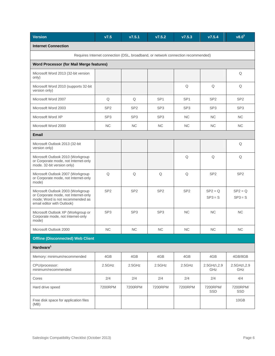| <b>Version</b>                                                                                                                              | V7.5            | V7.5.1          | V7.5.2          | V7.5.3          | V7.5.4                 | v8.0 <sup>5</sup>      |  |  |
|---------------------------------------------------------------------------------------------------------------------------------------------|-----------------|-----------------|-----------------|-----------------|------------------------|------------------------|--|--|
| <b>Internet Connection</b>                                                                                                                  |                 |                 |                 |                 |                        |                        |  |  |
| Requires Internet connection (DSL, broadband, or network connection recommended)                                                            |                 |                 |                 |                 |                        |                        |  |  |
| <b>Word Processor (for Mail Merge features)</b>                                                                                             |                 |                 |                 |                 |                        |                        |  |  |
| Microsoft Word 2013 (32-bit version<br>only)                                                                                                |                 |                 |                 |                 |                        | Q                      |  |  |
| Microsoft Word 2010 (supports 32-bit<br>version only)                                                                                       |                 |                 |                 | Q               | Q                      | Q                      |  |  |
| Microsoft Word 2007                                                                                                                         | Q               | Q               | SP <sub>1</sub> | SP <sub>1</sub> | SP <sub>2</sub>        | SP <sub>2</sub>        |  |  |
| Microsoft Word 2003                                                                                                                         | SP <sub>2</sub> | SP <sub>2</sub> | SP <sub>3</sub> | SP <sub>3</sub> | SP <sub>3</sub>        | SP <sub>3</sub>        |  |  |
| Microsoft Word XP                                                                                                                           | SP <sub>3</sub> | SP <sub>3</sub> | SP <sub>3</sub> | <b>NC</b>       | <b>NC</b>              | <b>NC</b>              |  |  |
| Microsoft Word 2000                                                                                                                         | <b>NC</b>       | <b>NC</b>       | <b>NC</b>       | <b>NC</b>       | <b>NC</b>              | <b>NC</b>              |  |  |
| Email                                                                                                                                       |                 |                 |                 |                 |                        |                        |  |  |
| Microsoft Outlook 2013 (32-bit<br>version only)                                                                                             |                 |                 |                 |                 |                        | Q                      |  |  |
| Microsoft Outlook 2010 (Workgroup<br>or Corporate mode, not Internet-only<br>mode. 32-bit version only)                                     |                 |                 |                 | Q               | Q                      | Q                      |  |  |
| Microsoft Outlook 2007 (Workgroup<br>or Corporate mode, not Internet-only<br>mode)                                                          | Q               | Q               | Q               | Q               | SP <sub>2</sub>        | SP <sub>2</sub>        |  |  |
| Microsoft Outlook 2003 (Workgroup<br>or Corporate mode, not Internet-only<br>mode; Word is not recommended as<br>email editor with Outlook) | SP <sub>2</sub> | SP <sub>2</sub> | SP <sub>2</sub> | SP <sub>2</sub> | $SP2 = Q$<br>$SP3 = S$ | $SP2 = Q$<br>$SP3 = S$ |  |  |
| Microsoft Outlook XP (Workgroup or<br>Corporate mode, not Internet-only<br>mode)                                                            | SP <sub>3</sub> | SP <sub>3</sub> | SP <sub>3</sub> | <b>NC</b>       | <b>NC</b>              | <b>NC</b>              |  |  |
| Microsoft Outlook 2000                                                                                                                      | NC              | <b>NC</b>       | <b>NC</b>       | <b>NC</b>       | <b>NC</b>              | NC                     |  |  |
| <b>Offline (Disconnected) Web Client</b>                                                                                                    |                 |                 |                 |                 |                        |                        |  |  |
| Hardware <sup>1</sup>                                                                                                                       |                 |                 |                 |                 |                        |                        |  |  |
| Memory: minimum/recommended                                                                                                                 | 4GB             | 4GB             | 4GB             | 4GB             | 4GB                    | 4GB/8GB                |  |  |
| CPU/processor:<br>minimum/recommended                                                                                                       | 2.5GHz          | 2.5GHz          | 2.5GHz          | 2.5GHz          | 2.5GHz\, 2.9<br>GHz    | 2.5GHz\, 2.9<br>GHz    |  |  |
| Cores                                                                                                                                       | 2/4             | 2/4             | 2/4             | 2/4             | 2/4                    | 4/4                    |  |  |
| Hard drive speed                                                                                                                            | 7200RPM         | 7200RPM         | 7200RPM         | 7200RPM         | 7200RPM/<br>SSD        | 7200RPM/<br>SSD        |  |  |
| Free disk space for application files<br>(MB)                                                                                               |                 |                 |                 |                 |                        | 10GB                   |  |  |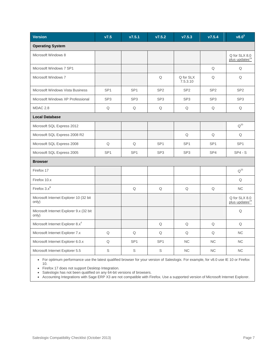| <b>Version</b>                                   | V7.5            | v7.5.1          | V7.5.2          | V7.5.3                | V7.5.4          | $v8.0^5$                                    |
|--------------------------------------------------|-----------------|-----------------|-----------------|-----------------------|-----------------|---------------------------------------------|
| <b>Operating System</b>                          |                 |                 |                 |                       |                 |                                             |
| Microsoft Windows 8                              |                 |                 |                 |                       |                 | Q for SLX 8.0<br>plus updates <sup>24</sup> |
| Microsoft Windows 7 SP1                          |                 |                 |                 |                       | Q               | Q                                           |
| Microsoft Windows 7                              |                 |                 | Q               | Q for SLX<br>7.5.3.10 | Q               | Q                                           |
| Microsoft Windows Vista Business                 | SP <sub>1</sub> | SP <sub>1</sub> | SP <sub>2</sub> | SP <sub>2</sub>       | SP <sub>2</sub> | SP <sub>2</sub>                             |
| Microsoft Windows XP Professional                | SP <sub>3</sub> | SP <sub>3</sub> | SP <sub>3</sub> | SP <sub>3</sub>       | SP <sub>3</sub> | SP <sub>3</sub>                             |
| MDAC 2.8                                         | Q               | Q               | Q               | $\hbox{\large \bf Q}$ | $\mathsf Q$     | Q                                           |
| <b>Local Database</b>                            |                 |                 |                 |                       |                 |                                             |
| Microsoft SQL Express 2012                       |                 |                 |                 |                       |                 | $Q^{20}$                                    |
| Microsoft SQL Express 2008 R2                    |                 |                 |                 | Q                     | Q               | Q                                           |
| Microsoft SQL Express 2008                       | Q               | Q               | SP <sub>1</sub> | SP <sub>1</sub>       | SP <sub>1</sub> | SP <sub>1</sub>                             |
| Microsoft SQL Express 2005                       | SP <sub>1</sub> | SP <sub>1</sub> | SP <sub>3</sub> | SP <sub>3</sub>       | SP4             | $SP4 - S$                                   |
| <b>Browser</b>                                   |                 |                 |                 |                       |                 |                                             |
| Firefox 17                                       |                 |                 |                 |                       |                 | $Q^{25}$                                    |
| Firefox 10.x                                     |                 |                 |                 |                       |                 | Q                                           |
| Firefox $3.x^3$                                  |                 | Q               | Q               | Q                     | Q               | NC                                          |
| Microsoft Internet Explorer 10 (32 bit<br>only)  |                 |                 |                 |                       |                 | Q for SLX 8.0<br>plus updates <sup>24</sup> |
| Microsoft Internet Explorer 9.x (32 bit<br>only) |                 |                 |                 |                       |                 | Q                                           |
| Microsoft Internet Explorer 8.x <sup>4</sup>     |                 |                 | Q               | Q                     | Q               | Q                                           |
| Microsoft Internet Explorer 7.x                  | $\mathsf Q$     | Q               | Q               | Q                     | Q               | <b>NC</b>                                   |
| Microsoft Internet Explorer 6.0.x                | Q               | SP <sub>1</sub> | SP <sub>1</sub> | <b>NC</b>             | NC              | <b>NC</b>                                   |
| Microsoft Internet Explorer 5.5                  | S               | S               | S               | <b>NC</b>             | <b>NC</b>       | <b>NC</b>                                   |

 For optimum performance use the latest qualified browser for your version of Saleslogix. For example, for v8.0 use IE 10 or Firefox 10.

• Firefox 17 does not support Desktop Integration.

• Saleslogix has not been qualified on any 64-bit versions of browsers.

Accounting Integrations with Sage ERP X3 are not compatible with Firefox. Use a supported version of Microsoft Internet Explorer.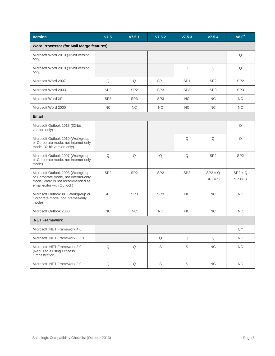| <b>Version</b>                                                                                                                              | V7.5            | v7.5.1          | V7.5.2          | V7.5.3          | V7.5.4                 | v8.0 <sup>5</sup>      |  |  |
|---------------------------------------------------------------------------------------------------------------------------------------------|-----------------|-----------------|-----------------|-----------------|------------------------|------------------------|--|--|
| Word Processor (for Mail Merge features)                                                                                                    |                 |                 |                 |                 |                        |                        |  |  |
| Microsoft Word 2013 (32-bit version<br>only)                                                                                                |                 |                 |                 |                 |                        | Q                      |  |  |
| Microsoft Word 2010 (32-bit version<br>only)                                                                                                |                 |                 |                 | Q               | Q                      | Q                      |  |  |
| Microsoft Word 2007                                                                                                                         | $\mathsf Q$     | Q               | SP <sub>1</sub> | SP <sub>1</sub> | SP <sub>2</sub>        | SP <sub>2</sub>        |  |  |
| Microsoft Word 2003                                                                                                                         | SP <sub>2</sub> | SP <sub>2</sub> | SP <sub>3</sub> | SP <sub>3</sub> | SP <sub>3</sub>        | SP <sub>3</sub>        |  |  |
| Microsoft Word XP                                                                                                                           | SP <sub>3</sub> | SP <sub>3</sub> | SP <sub>3</sub> | <b>NC</b>       | <b>NC</b>              | <b>NC</b>              |  |  |
| Microsoft Word 2000                                                                                                                         | <b>NC</b>       | <b>NC</b>       | $\rm NC$        | NC              | NC                     | NC                     |  |  |
| Email                                                                                                                                       |                 |                 |                 |                 |                        |                        |  |  |
| Microsoft Outlook 2013 (32-bit<br>version only)                                                                                             |                 |                 |                 |                 |                        | Q                      |  |  |
| Microsoft Outlook 2010 (Workgroup<br>or Corporate mode, not Internet-only<br>mode. 32-bit version only)                                     |                 |                 |                 | Q               | Q                      | Q                      |  |  |
| Microsoft Outlook 2007 (Workgroup<br>or Corporate mode, not Internet-only<br>mode)                                                          | Q               | Q               | Q               | Q               | SP <sub>2</sub>        | SP <sub>2</sub>        |  |  |
| Microsoft Outlook 2003 (Workgroup<br>or Corporate mode, not Internet-only<br>mode; Word is not recommended as<br>email editor with Outlook) | SP <sub>2</sub> | SP <sub>2</sub> | SP <sub>2</sub> | SP <sub>2</sub> | $SP2 = Q$<br>$SP3 = S$ | $SP2 = Q$<br>$SP3 = S$ |  |  |
| Microsoft Outlook XP (Workgroup or<br>Corporate mode, not Internet-only<br>mode)                                                            | SP <sub>3</sub> | SP <sub>3</sub> | SP <sub>3</sub> | NC              | <b>NC</b>              | NC                     |  |  |
| Microsoft Outlook 2000                                                                                                                      | <b>NC</b>       | <b>NC</b>       | <b>NC</b>       | <b>NC</b>       | <b>NC</b>              | <b>NC</b>              |  |  |
| .NET Framework                                                                                                                              |                 |                 |                 |                 |                        |                        |  |  |
| Microsoft .NET Framework 4.0                                                                                                                |                 |                 |                 |                 |                        | $Q^{16}$               |  |  |
| Microsoft .NET Framework 3.5.1                                                                                                              |                 |                 | Q               | Q               | Q                      | NC                     |  |  |
| Microsoft .NET Framework 3.0<br>(Required if using Process<br>Orchestration)                                                                | $\mathsf Q$     | $\mathsf Q$     | $\mathsf S$     | S               | NC                     | NC                     |  |  |
| Microsoft .NET Framework 2.0                                                                                                                | Q               | $\mathsf Q$     | $\mathbb S$     | S               | NC                     | NC                     |  |  |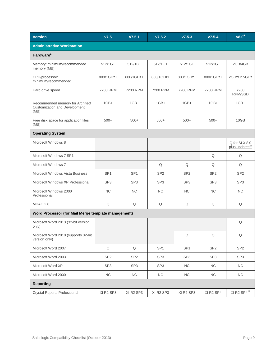| <b>Version</b>                                                                   | V7.5            | V7.5.1          | V7.5.2          | V7.5.3          | V7.5.4          | v8.0 <sup>5</sup>                           |  |  |
|----------------------------------------------------------------------------------|-----------------|-----------------|-----------------|-----------------|-----------------|---------------------------------------------|--|--|
| <b>Administrative Workstation</b>                                                |                 |                 |                 |                 |                 |                                             |  |  |
| Hardware <sup>1</sup>                                                            |                 |                 |                 |                 |                 |                                             |  |  |
| Memory: minimum/recommended<br>memory (MB)                                       | $512/1G+$       | $512/1G+$       | $512/1G+$       | $512/1G+$       | $512/1G+$       | 2GB/4GB                                     |  |  |
| CPU/processor:<br>minimum/recommended                                            | 800/1GHz+       | 800/1GHz+       | 800/1GHz+       | 800/1GHz+       | 800/1GHz+       | 2GHz/ 2.5GHz                                |  |  |
| Hard drive speed                                                                 | 7200 RPM        | 7200 RPM        | 7200 RPM        | 7200 RPM        | 7200 RPM        | 7200<br>RPM/SSD                             |  |  |
| Recommended memory for Architect<br><b>Customization and Development</b><br>(MB) | $1GB+$          | $1GB+$          | $1GB+$          | $1GB+$          | $1GB+$          | $1GB+$                                      |  |  |
| Free disk space for application files<br>(MB)                                    | $500+$          | $500+$          | $500+$          | $500+$          | $500+$          | 10GB                                        |  |  |
| <b>Operating System</b>                                                          |                 |                 |                 |                 |                 |                                             |  |  |
| Microsoft Windows 8                                                              |                 |                 |                 |                 |                 | Q for SLX 8.0<br>plus updates <sup>24</sup> |  |  |
| Microsoft Windows 7 SP1                                                          |                 |                 |                 |                 | Q               | Q                                           |  |  |
| Microsoft Windows 7                                                              |                 |                 | Q               | Q               | Q               | Q                                           |  |  |
| <b>Microsoft Windows Vista Business</b>                                          | SP <sub>1</sub> | SP <sub>1</sub> | SP <sub>2</sub> | SP <sub>2</sub> | SP <sub>2</sub> | SP <sub>2</sub>                             |  |  |
| Microsoft Windows XP Professional                                                | SP <sub>3</sub> | SP <sub>3</sub> | SP <sub>3</sub> | SP <sub>3</sub> | SP <sub>3</sub> | SP <sub>3</sub>                             |  |  |
| Microsoft Windows 2000<br>Professional                                           | <b>NC</b>       | NC              | <b>NC</b>       | NC              | NC.             | NC.                                         |  |  |
| MDAC 2.8                                                                         | Q               | Q               | Q               | Q               | Q               | Q                                           |  |  |
| Word Processor (for Mail Merge template management)                              |                 |                 |                 |                 |                 |                                             |  |  |
| Microsoft Word 2013 (32-bit version<br>only)                                     |                 |                 |                 |                 |                 | Q                                           |  |  |
| Microsoft Word 2010 (supports 32-bit<br>version only)                            |                 |                 |                 | Q               | Q               | Q                                           |  |  |
| Microsoft Word 2007                                                              | Q               | Q               | SP <sub>1</sub> | SP <sub>1</sub> | SP <sub>2</sub> | SP <sub>2</sub>                             |  |  |
| Microsoft Word 2003                                                              | SP <sub>2</sub> | SP <sub>2</sub> | SP <sub>3</sub> | SP <sub>3</sub> | SP <sub>3</sub> | SP <sub>3</sub>                             |  |  |
| Microsoft Word XP                                                                | SP <sub>3</sub> | SP <sub>3</sub> | SP <sub>3</sub> | NC              | NC              | NC                                          |  |  |
| Microsoft Word 2000                                                              | ${\sf NC}$      | NC              | ${\sf NC}$      | NC              | NC              | NC                                          |  |  |
| <b>Reporting</b>                                                                 |                 |                 |                 |                 |                 |                                             |  |  |
| <b>Crystal Reports Professional</b>                                              | XI R2 SP3       | XI R2 SP3       | XI R2 SP3       | XI R2 SP3       | XI R2 SP4       | XI R2 SP4 <sup>22</sup>                     |  |  |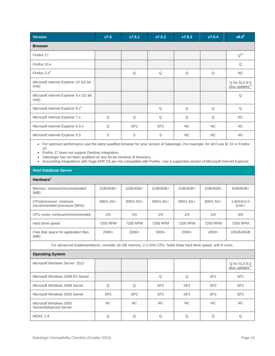| Version                                          | V7.5 | V7.5.1          | V7.5.2          | V7.5.3    | V7.5.4    | v8.0 <sup>5</sup>                           |  |  |  |
|--------------------------------------------------|------|-----------------|-----------------|-----------|-----------|---------------------------------------------|--|--|--|
| <b>Browser</b>                                   |      |                 |                 |           |           |                                             |  |  |  |
| Firefox 17                                       |      |                 |                 |           |           | $Q^{25}$                                    |  |  |  |
| Firefox 10.x                                     |      |                 |                 |           |           | Q                                           |  |  |  |
| Firefox $3.x^3$                                  |      | Q               | Q               | Q         | Q         | <b>NC</b>                                   |  |  |  |
| Microsoft Internet Explorer 10 (32 bit<br>only)  |      |                 |                 |           |           | Q for SLX 8.0<br>plus updates <sup>24</sup> |  |  |  |
| Microsoft Internet Explorer 9.x (32 bit<br>only) |      |                 |                 |           |           | Q                                           |  |  |  |
| Microsoft Internet Explorer 8.x <sup>4</sup>     |      |                 | Q               | Q         | Q         | Q                                           |  |  |  |
| Microsoft Internet Explorer 7.x                  | Q    | Q               | Q               | Q         | Q         | <b>NC</b>                                   |  |  |  |
| Microsoft Internet Explorer 6.0.x                | Q    | SP <sub>1</sub> | SP <sub>1</sub> | <b>NC</b> | <b>NC</b> | <b>NC</b>                                   |  |  |  |
| Microsoft Internet Explorer 5.5                  | S    | S               | S               | <b>NC</b> | <b>NC</b> | <b>NC</b>                                   |  |  |  |

 For optimum performance use the latest qualified browser for your version of Saleslogix. For example, for v8.0 use IE 10 or Firefox 10.

• Firefox 17 does not support Desktop Integration.

Saleslogix has not been qualified on any 64-bit versions of browsers.

Accounting Integrations with Sage ERP X3 are not compatible with Firefox. Use a supported version of Microsoft Internet Explorer.

### **Host Database Server**

| Hardware <sup>1</sup>                                                                                        |             |             |             |             |             |                                             |
|--------------------------------------------------------------------------------------------------------------|-------------|-------------|-------------|-------------|-------------|---------------------------------------------|
| Memory: minimum/recommended<br>(MB)                                                                          | $1GB/4GB+$  | $1GB/4GB+$  | $1GB/4GB+$  | $1GB/4GB+$  | $1GB/4GB+$  | $4GB/8GB+$                                  |
| CPU/processor: minimum<br>/recommended processor (MHz)                                                       | $800/1.5G+$ | $800/1.5G+$ | $800/1.5G+$ | $800/1.5G+$ | $800/1.5G+$ | $1.8$ GHz $\lambda$ 2.0<br>GHz+             |
| CPU cores: minimum/recommended                                                                               | 2/4         | 2/4         | 2/4         | 2/4         | 2/4         | 4/6                                         |
| Hard drive speed                                                                                             | 7200 RPM    | 7200 RPM    | 7200 RPM    | 7200 RPM    | 7200 RPM    | 7200 RPM                                    |
| Free disk space for application files<br>(MB)                                                                | $2000+$     | $2000+$     | $2000+$     | $2000+$     | $2000+$     | 10GB\40GB                                   |
| For advanced implementations, consider 16 GB memory, 2.3 GHz CPU, Solid State hard drive speed, and 8 cores. |             |             |             |             |             |                                             |
| <b>Operating System</b>                                                                                      |             |             |             |             |             |                                             |
| Microsoft Windows Server 2012                                                                                |             |             |             |             |             | Q for SLX 8.0<br>plus updates <sup>24</sup> |
|                                                                                                              |             |             |             |             |             |                                             |

| Microsoft Windows 2008 R2 Server                 |                 |                 |                 | Q               | SP <sub>1</sub> | SP <sub>1</sub> |
|--------------------------------------------------|-----------------|-----------------|-----------------|-----------------|-----------------|-----------------|
| Microsoft Windows 2008 Server                    |                 |                 | SP <sub>2</sub> | SP <sub>2</sub> | SP <sub>2</sub> | SP <sub>2</sub> |
| Microsoft Windows 2003 Server                    | SP <sub>2</sub> | SP <sub>2</sub> | SP <sub>2</sub> | SP <sub>2</sub> | SP <sub>2</sub> | SP <sub>2</sub> |
| Microsoft Windows 2000<br>Server/Advanced Server | NC.             | <b>NC</b>       | <b>NC</b>       | <b>NC</b>       | NC.             | NC.             |
| MDAC 2.8                                         |                 |                 |                 |                 |                 |                 |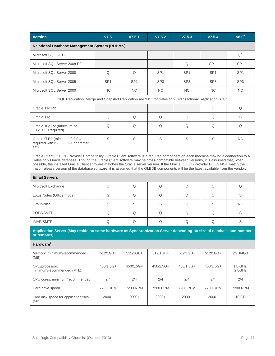| <b>Version</b>                                                                                                                                                                                                                                                                                                                                                                                                                                                                                                                                         | V7.5            | V7.5.1          | V7.5.2          | V7.5.3          | V7.5.4          | v8.0 <sup>5</sup>  |  |
|--------------------------------------------------------------------------------------------------------------------------------------------------------------------------------------------------------------------------------------------------------------------------------------------------------------------------------------------------------------------------------------------------------------------------------------------------------------------------------------------------------------------------------------------------------|-----------------|-----------------|-----------------|-----------------|-----------------|--------------------|--|
| <b>Relational Database Management System (RDBMS)</b>                                                                                                                                                                                                                                                                                                                                                                                                                                                                                                   |                 |                 |                 |                 |                 |                    |  |
| Microsoft SQL 2012                                                                                                                                                                                                                                                                                                                                                                                                                                                                                                                                     |                 |                 |                 |                 |                 | $Q^{20}$           |  |
| Microsoft SQL Server 2008 R2                                                                                                                                                                                                                                                                                                                                                                                                                                                                                                                           |                 |                 |                 | Q               | $SP1^2$         | SP <sub>1</sub>    |  |
| Microsoft SQL Server 2008                                                                                                                                                                                                                                                                                                                                                                                                                                                                                                                              | Q               | Q               | SP <sub>1</sub> | SP <sub>1</sub> | SP <sub>1</sub> | SP <sub>1</sub>    |  |
| Microsoft SQL Server 2005                                                                                                                                                                                                                                                                                                                                                                                                                                                                                                                              | SP <sub>1</sub> | SP <sub>1</sub> | SP <sub>3</sub> | SP <sub>3</sub> | SP <sub>3</sub> | SP <sub>3</sub>    |  |
| Microsoft SQL Server 2000                                                                                                                                                                                                                                                                                                                                                                                                                                                                                                                              | NC              | NC              | <b>NC</b>       | NC              | <b>NC</b>       | <b>NC</b>          |  |
| SQL Replication: Merge and Snapshot Replication are "NC" for Saleslogix. Transactional Replication is "S"                                                                                                                                                                                                                                                                                                                                                                                                                                              |                 |                 |                 |                 |                 |                    |  |
| Oracle 11g R2                                                                                                                                                                                                                                                                                                                                                                                                                                                                                                                                          |                 |                 |                 |                 | Q               | Q                  |  |
| Oracle 11g                                                                                                                                                                                                                                                                                                                                                                                                                                                                                                                                             | Q               | Q               | Q               | Q               | Q               | S                  |  |
| Oracle 10g R2 (minimum of<br>10.2.0.1.0 required)                                                                                                                                                                                                                                                                                                                                                                                                                                                                                                      | Q               | Q               | Q               | Q               | Q               | Q                  |  |
| Oracle 9i R2 (minimum 9.2.0.4<br>required with ISO 8859-1 character<br>set)                                                                                                                                                                                                                                                                                                                                                                                                                                                                            | S               | S               | S               | $\mathbb S$     | S               | <b>NC</b>          |  |
| Oracle Client/OLE DB Provider Compatibility: Oracle Client software is a required component on each machine making a connection to a<br>Saleslogix Oracle database. Though the Oracle Client software may be cross-compatible between versions, it is assumed that, when<br>possible, the installed Oracle Client software matches the Oracle server version. If the Oracle OLEDB Provider DOES NOT match the<br>major release version of the database software, it is assumed that the OLEDB components will be the latest available from the vendor. |                 |                 |                 |                 |                 |                    |  |
| <b>Email Servers</b>                                                                                                                                                                                                                                                                                                                                                                                                                                                                                                                                   |                 |                 |                 |                 |                 |                    |  |
| Microsoft Exchange                                                                                                                                                                                                                                                                                                                                                                                                                                                                                                                                     | Q               | Q               | Q               | Q               | Q               | Q                  |  |
| Lotus Notes (Office mode)                                                                                                                                                                                                                                                                                                                                                                                                                                                                                                                              | S               | Q               | Q               | Q               | Q               | S                  |  |
| GroupWise                                                                                                                                                                                                                                                                                                                                                                                                                                                                                                                                              | S               | S               | S               | S               | S               | <b>NC</b>          |  |
| POP3/SMTP                                                                                                                                                                                                                                                                                                                                                                                                                                                                                                                                              | Q               | Q               | Q               | Q               | Q               | S                  |  |
| <b>IMAP/SMTP</b>                                                                                                                                                                                                                                                                                                                                                                                                                                                                                                                                       | Q               | Q               | Q               | Q               | Q               | $\mathbb S$        |  |
| Application Server (May reside on same hardware as Synchronization Server depending on size of database and number<br>of remotes)                                                                                                                                                                                                                                                                                                                                                                                                                      |                 |                 |                 |                 |                 |                    |  |
| Hardware <sup>1</sup>                                                                                                                                                                                                                                                                                                                                                                                                                                                                                                                                  |                 |                 |                 |                 |                 |                    |  |
| Memory: minimum/recommended<br>(MB)                                                                                                                                                                                                                                                                                                                                                                                                                                                                                                                    | 512/1GB+        | 512/1GB+        | 512/1GB+        | 512/1GB+        | 512/1GB+        | 2GB/4GB            |  |
| CPU/processor:<br>minimum/recommended (MHZ)                                                                                                                                                                                                                                                                                                                                                                                                                                                                                                            | 450/1.5G+       | 450/1.5G+       | 450/1.5G+       | 450/1.5G+       | 450/1.5G+       | 1.8 GHz/<br>2.0GHz |  |
| CPU cores: minimum/recommended                                                                                                                                                                                                                                                                                                                                                                                                                                                                                                                         | 2/4             | 2/4             | 2/4             | 2/4             | 2/4             | 2/4                |  |
| Hard drive speed                                                                                                                                                                                                                                                                                                                                                                                                                                                                                                                                       | 7200 RPM        | 7200 RPM        | 7200 RPM        | 7200 RPM        | 7200 RPM        | 7200 RPM           |  |
| Free disk space for application files<br>(MB)                                                                                                                                                                                                                                                                                                                                                                                                                                                                                                          | $2000+$         | $2000+$         | $2000+$         | $2000+$         | $2000+$         | 10 GB              |  |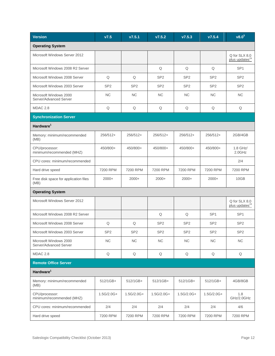| <b>Version</b>                                   | V7.5            | V7.5.1          | V7.5.2          | V7.5.3          | V7.5.4          | $\overline{v8.0^5}$                         |  |  |  |
|--------------------------------------------------|-----------------|-----------------|-----------------|-----------------|-----------------|---------------------------------------------|--|--|--|
| <b>Operating System</b>                          |                 |                 |                 |                 |                 |                                             |  |  |  |
| Microsoft Windows Server 2012                    |                 |                 |                 |                 |                 | Q for SLX 8.0<br>plus updates <sup>24</sup> |  |  |  |
| Microsoft Windows 2008 R2 Server                 |                 |                 | Q               | Q               | Q               | SP <sub>1</sub>                             |  |  |  |
| Microsoft Windows 2008 Server                    | Q               | Q               | SP <sub>2</sub> | SP <sub>2</sub> | SP <sub>2</sub> | SP <sub>2</sub>                             |  |  |  |
| Microsoft Windows 2003 Server                    | SP <sub>2</sub> | SP <sub>2</sub> | SP <sub>2</sub> | SP <sub>2</sub> | SP <sub>2</sub> | SP <sub>2</sub>                             |  |  |  |
| Microsoft Windows 2000<br>Server/Advanced Server | <b>NC</b>       | <b>NC</b>       | <b>NC</b>       | <b>NC</b>       | <b>NC</b>       | <b>NC</b>                                   |  |  |  |
| MDAC 2.8                                         | Q               | Q               | Q               | Q               | Q               | Q                                           |  |  |  |
| <b>Synchronization Server</b>                    |                 |                 |                 |                 |                 |                                             |  |  |  |
| Hardware <sup>1</sup>                            |                 |                 |                 |                 |                 |                                             |  |  |  |
| Memory: minimum/recommended<br>(MB)              | 256/512+        | 256/512+        | 256/512+        | 256/512+        | 256/512+        | 2GB/4GB                                     |  |  |  |
| CPU/processor:<br>minimum/recommended (MHZ)      | 450/800+        | 450/800+        | 450/800+        | 450/800+        | 450/800+        | 1.8 GHz/<br>$2.0$ GHz                       |  |  |  |
| CPU cores: minimum/recommended                   |                 |                 |                 |                 |                 | 2/4                                         |  |  |  |
| Hard drive speed                                 | 7200 RPM        | 7200 RPM        | 7200 RPM        | 7200 RPM        | 7200 RPM        | 7200 RPM                                    |  |  |  |
| Free disk space for application files<br>(MB)    | $2000+$         | $2000+$         | $2000+$         | $2000+$         | $2000+$         | 10GB                                        |  |  |  |
| <b>Operating System</b>                          |                 |                 |                 |                 |                 |                                             |  |  |  |
| Microsoft Windows Server 2012                    |                 |                 |                 |                 |                 | Q for SLX 8.0<br>plus updates <sup>24</sup> |  |  |  |
| Microsoft Windows 2008 R2 Server                 |                 |                 | Q               | Q               | SP <sub>1</sub> | SP <sub>1</sub>                             |  |  |  |
| Microsoft Windows 2008 Server                    | Q               | Q               | SP <sub>2</sub> | SP <sub>2</sub> | SP <sub>2</sub> | SP <sub>2</sub>                             |  |  |  |
| Microsoft Windows 2003 Server                    | SP <sub>2</sub> | SP <sub>2</sub> | SP <sub>2</sub> | SP <sub>2</sub> | SP <sub>2</sub> | SP <sub>2</sub>                             |  |  |  |
| Microsoft Windows 2000<br>Server/Advanced Server | <b>NC</b>       | NC              | <b>NC</b>       | NC              | NC              | NC                                          |  |  |  |
| MDAC 2.8                                         | Q               | Q               | Q               | Q               | Q               | Q                                           |  |  |  |
| <b>Remote Office Server</b>                      |                 |                 |                 |                 |                 |                                             |  |  |  |
| Hardware <sup>1</sup>                            |                 |                 |                 |                 |                 |                                             |  |  |  |
| Memory: minimum/recommended<br>(MB)              | 512/1GB+        | 512/1GB+        | 512/1GB+        | 512/1GB+        | 512/1GB+        | 4GB/8GB                                     |  |  |  |
| CPU/processor:<br>minimum/recommended (MHZ)      | $1.5G/2.0G+$    | $1.5G/2.0G+$    | $1.5G/2.0G+$    | $1.5G/2.0G+$    | $1.5G/2.0G+$    | 1.8<br>GHz/2.0GHz                           |  |  |  |
| CPU cores: minimum/recommended                   | 2/4             | 2/4             | 2/4             | 2/4             | 2/4             | 4/6                                         |  |  |  |
| Hard drive speed                                 | 7200 RPM        | 7200 RPM        | 7200 RPM        | 7200 RPM        | 7200 RPM        | 7200 RPM                                    |  |  |  |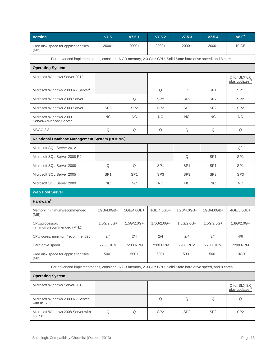| <b>Version</b>                                                                                               | V7.5            | V7.5.1          | V7.5.2          | V7.5.3          | V7.5.4          | v8.0 <sup>5</sup>                           |  |  |  |
|--------------------------------------------------------------------------------------------------------------|-----------------|-----------------|-----------------|-----------------|-----------------|---------------------------------------------|--|--|--|
| Free disk space for application files<br>(MB)                                                                | $2000+$         | $2000+$         | $2000+$         | $2000+$         | $2000+$         | 10 GB                                       |  |  |  |
| For advanced implementations, consider 16 GB memory, 2.3 GHz CPU, Solid State hard drive speed, and 8 cores. |                 |                 |                 |                 |                 |                                             |  |  |  |
| <b>Operating System</b>                                                                                      |                 |                 |                 |                 |                 |                                             |  |  |  |
| Microsoft Windows Server 2012                                                                                |                 |                 |                 |                 |                 | Q for SLX 8.0<br>plus updates <sup>24</sup> |  |  |  |
| Microsoft Windows 2008 R2 Server <sup>7</sup>                                                                |                 |                 | Q               | Q               | SP <sub>1</sub> | SP <sub>1</sub>                             |  |  |  |
| Microsoft Windows 2008 Server <sup>7</sup>                                                                   | Q               | Q               | SP <sub>2</sub> | SP <sub>2</sub> | SP <sub>2</sub> | SP <sub>2</sub>                             |  |  |  |
| Microsoft Windows 2003 Server                                                                                | SP <sub>2</sub> | SP <sub>2</sub> | SP <sub>2</sub> | SP <sub>2</sub> | SP <sub>2</sub> | SP <sub>2</sub>                             |  |  |  |
| Microsoft Windows 2000<br>Server/Advanced Server                                                             | <b>NC</b>       | <b>NC</b>       | <b>NC</b>       | <b>NC</b>       | <b>NC</b>       | <b>NC</b>                                   |  |  |  |
| MDAC 2.8                                                                                                     | Q               | Q               | Q               | Q               | Q               | Q                                           |  |  |  |
| <b>Relational Database Management System (RDBMS)</b>                                                         |                 |                 |                 |                 |                 |                                             |  |  |  |
| Microsoft SQL Server 2012                                                                                    |                 |                 |                 |                 |                 | $Q^{20}$                                    |  |  |  |
| Microsoft SQL Server 2008 R2                                                                                 |                 |                 |                 | Q               | SP <sub>1</sub> | SP <sub>1</sub>                             |  |  |  |
| Microsoft SQL Server 2008                                                                                    | Q               | Q               | SP <sub>1</sub> | SP <sub>1</sub> | SP <sub>1</sub> | SP <sub>1</sub>                             |  |  |  |
| Microsoft SQL Server 2005                                                                                    | SP <sub>1</sub> | SP <sub>1</sub> | SP <sub>3</sub> | SP <sub>3</sub> | SP <sub>3</sub> | SP <sub>3</sub>                             |  |  |  |
| Microsoft SQL Server 2000                                                                                    | <b>NC</b>       | <b>NC</b>       | <b>NC</b>       | NC              | <b>NC</b>       | NC                                          |  |  |  |
| <b>Web Host Server</b>                                                                                       |                 |                 |                 |                 |                 |                                             |  |  |  |
| Hardware <sup>1</sup>                                                                                        |                 |                 |                 |                 |                 |                                             |  |  |  |
| Memory: minimum/recommended<br>(MB)                                                                          | 1GB/4.0GB+      | 1GB/4.0GB+      | 1GB/4.0GB+      | 1GB/4.0GB+      | 1GB/4.0GB+      | 4GB/8.0GB+                                  |  |  |  |
| CPU/processor:<br>minimum/recommended (MHZ)                                                                  | $1.5G/2.0G+$    | $1.5G/2.0G+$    | $1.5G/2.0G+$    | $1.5G/2.0G+$    | $1.5G/2.0G+$    | $1.8G/2.0G+$                                |  |  |  |
| CPU cores: minimum/recommended                                                                               | 2/4             | 2/4             | 2/4             | 2/4             | 2/4             | 4/6                                         |  |  |  |
| Hard drive speed                                                                                             | 7200 RPM        | 7200 RPM        | 7200 RPM        | 7200 RPM        | 7200 RPM        | 7200 RPM                                    |  |  |  |
| Free disk space for application files<br>(MB)                                                                | $500+$          | $500+$          | $500+$          | $500+$          | $500+$          | 10GB                                        |  |  |  |
| For advanced implementations, consider 16 GB memory, 2.3 GHz CPU, Solid State hard drive speed, and 8 cores. |                 |                 |                 |                 |                 |                                             |  |  |  |
| <b>Operating System</b>                                                                                      |                 |                 |                 |                 |                 |                                             |  |  |  |
| Microsoft Windows Server 2012                                                                                |                 |                 |                 |                 |                 | Q for SLX 8.0<br>plus updates <sup>24</sup> |  |  |  |
| Microsoft Windows 2008 R2 Server<br>with IIS $7.5^7$                                                         |                 |                 | Q               | Q               | Q               | Q                                           |  |  |  |
| Microsoft Windows 2008 Server with<br>IIS 7.0 <sup>7</sup>                                                   | Q               | Q               | SP <sub>2</sub> | SP <sub>2</sub> | SP <sub>2</sub> | SP <sub>2</sub>                             |  |  |  |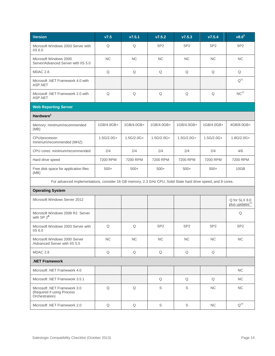| <b>Version</b>                                                                                               | V7.5         | V7.5.1       | V7.5.2          | V7.5.3          | V7.5.4          | v8.0 <sup>5</sup>                           |  |  |  |
|--------------------------------------------------------------------------------------------------------------|--------------|--------------|-----------------|-----------------|-----------------|---------------------------------------------|--|--|--|
| Microsoft Windows 2003 Server with<br><b>IIS 6.0</b>                                                         | Q            | Q            | SP <sub>2</sub> | SP <sub>2</sub> | SP <sub>2</sub> | SP <sub>2</sub>                             |  |  |  |
| Microsoft Windows 2000<br>Server/Advanced Server with IIS 5.0                                                | <b>NC</b>    | <b>NC</b>    | <b>NC</b>       | NC              | <b>NC</b>       | <b>NC</b>                                   |  |  |  |
| <b>MDAC 2.8</b>                                                                                              | Q            | $\mathsf Q$  | Q               | Q               | $\mathsf Q$     | Q                                           |  |  |  |
| Microsoft .NET Framework 4.0 with<br>ASP.NET                                                                 |              |              |                 |                 |                 | $Q^{21}$                                    |  |  |  |
| Microsoft .NET Framework 2.0 with<br>ASP.NET                                                                 | $\mathsf Q$  | $\mathsf Q$  | $\mathsf Q$     | Q               | $\mathsf Q$     | NC <sup>21</sup>                            |  |  |  |
| <b>Web Reporting Server</b>                                                                                  |              |              |                 |                 |                 |                                             |  |  |  |
| Hardware <sup>1</sup>                                                                                        |              |              |                 |                 |                 |                                             |  |  |  |
| Memory: minimum/recommended<br>(MB)                                                                          | 1GB/4.0GB+   | 1GB/4.0GB+   | 1GB/4.0GB+      | 1GB/4.0GB+      | 1GB/4.0GB+      | 4GB/8.0GB+                                  |  |  |  |
| CPU/processor:<br>minimum/recommended (MHZ)                                                                  | $1.5G/2.0G+$ | $1.5G/2.0G+$ | $1.5G/2.0G+$    | $1.5G/2.0G+$    | $1.5G/2.0G+$    | 1.8G/2.0G+                                  |  |  |  |
| CPU cores: minimum/recommended                                                                               | 2/4          | 2/4          | 2/4             | 2/4             | 2/4             | 4/6                                         |  |  |  |
| Hard drive speed                                                                                             | 7200 RPM     | 7200 RPM     | 7200 RPM        | 7200 RPM        | 7200 RPM        | 7200 RPM                                    |  |  |  |
| Free disk space for application files<br>(MB)                                                                | $500+$       | $500+$       | $500+$          | $500+$          | $500+$          | 10GB                                        |  |  |  |
| For advanced implementations, consider 16 GB memory, 2.3 GHz CPU, Solid State hard drive speed, and 8 cores. |              |              |                 |                 |                 |                                             |  |  |  |
| <b>Operating System</b>                                                                                      |              |              |                 |                 |                 |                                             |  |  |  |
| Microsoft Windows Server 2012                                                                                |              |              |                 |                 |                 | Q for SLX 8.0<br>plus updates <sup>24</sup> |  |  |  |
| Microsoft Windows 2008 R2 Server<br>with $SP 2^8$                                                            |              |              |                 |                 |                 | Q                                           |  |  |  |
| Microsoft Windows 2003 Server with<br>IIS 6.0                                                                | Q            | Q            | SP <sub>2</sub> | SP <sub>2</sub> | SP <sub>2</sub> | SP <sub>2</sub>                             |  |  |  |
| Microsoft Windows 2000 Server<br>/Advanced Server with IIS 5.0                                               | NC           | NC           | NC              | NC              | NC              | NC                                          |  |  |  |
| MDAC 2.8                                                                                                     | Q            | Q            | Q               | Q               | Q               |                                             |  |  |  |
| <b>NET Framework</b>                                                                                         |              |              |                 |                 |                 |                                             |  |  |  |
| Microsoft .NET Framework 4.0                                                                                 |              |              |                 |                 |                 | <b>NC</b>                                   |  |  |  |
| Microsoft .NET Framework 3.5.1                                                                               |              |              | Q               | Q               | Q               | NC                                          |  |  |  |
| Microsoft .NET Framework 3.0<br>(Required if using Process<br>Orchestration)                                 | $\mathsf Q$  | $\mathsf Q$  | $\mathbb S$     | $\mathbb S$     | NC              | NC                                          |  |  |  |
| Microsoft .NET Framework 2.0                                                                                 | Q            | Q            | S               | S               | NC.             | $Q^{16}$                                    |  |  |  |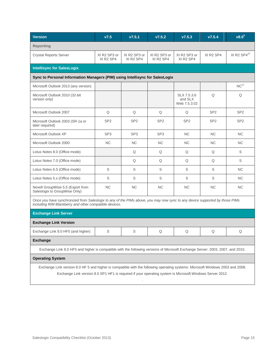| <b>Version</b>                                                                                                                                                                                                                             | V7.5                                              | v7.5.1                                            | V7.5.2                                            | V7.5.3                                            | V7.5.4                            | $v8.0^5$         |  |  |  |
|--------------------------------------------------------------------------------------------------------------------------------------------------------------------------------------------------------------------------------------------|---------------------------------------------------|---------------------------------------------------|---------------------------------------------------|---------------------------------------------------|-----------------------------------|------------------|--|--|--|
| <b>Reporting</b>                                                                                                                                                                                                                           |                                                   |                                                   |                                                   |                                                   |                                   |                  |  |  |  |
| <b>Crystal Reports Server</b>                                                                                                                                                                                                              | XI R2 SP3 or<br>XI R <sub>2</sub> SP <sub>4</sub> | XI R2 SP3 or<br>XI R <sub>2</sub> SP <sub>4</sub> | XI R2 SP3 or<br>XI R <sub>2</sub> SP <sub>4</sub> | XI R2 SP3 or<br>XI R <sub>2</sub> SP <sub>4</sub> | XI R <sub>2</sub> SP <sub>4</sub> | XI R2 $SP4^{22}$ |  |  |  |
| <b>Intellisync for SalesLogix</b>                                                                                                                                                                                                          |                                                   |                                                   |                                                   |                                                   |                                   |                  |  |  |  |
| Sync to Personal Information Managers (PIM) using Intellisync for SalesLogix                                                                                                                                                               |                                                   |                                                   |                                                   |                                                   |                                   |                  |  |  |  |
| Microsoft Outlook 2013 (any version)                                                                                                                                                                                                       |                                                   |                                                   |                                                   |                                                   |                                   | $NC^{27}$        |  |  |  |
| Microsoft Outlook 2010 (32-bit<br>version only)                                                                                                                                                                                            |                                                   |                                                   |                                                   | SLX 7.5.3.6<br>and SLX<br>Web 7.5.3.02            | Q                                 | Q                |  |  |  |
| Microsoft Outlook 2007                                                                                                                                                                                                                     | Q                                                 | Q                                                 | Q                                                 | Q                                                 | SP <sub>2</sub>                   | SP <sub>2</sub>  |  |  |  |
| Microsoft Outlook 2003 (SR-1a or<br>later required)                                                                                                                                                                                        | SP <sub>2</sub>                                   | SP <sub>2</sub>                                   | SP <sub>2</sub>                                   | SP <sub>2</sub>                                   | SP <sub>2</sub>                   | SP <sub>2</sub>  |  |  |  |
| Microsoft Outlook XP                                                                                                                                                                                                                       | SP <sub>3</sub>                                   | SP <sub>3</sub>                                   | SP <sub>3</sub>                                   | <b>NC</b>                                         | <b>NC</b>                         | <b>NC</b>        |  |  |  |
| Microsoft Outlook 2000                                                                                                                                                                                                                     | <b>NC</b>                                         | <b>NC</b>                                         | <b>NC</b>                                         | <b>NC</b>                                         | <b>NC</b>                         | <b>NC</b>        |  |  |  |
| Lotus Notes 8.0 (Office mode)                                                                                                                                                                                                              |                                                   | Q                                                 | Q                                                 | Q                                                 | Q                                 | S                |  |  |  |
| Lotus Notes 7.0 (Office mode)                                                                                                                                                                                                              |                                                   | Q                                                 | Q                                                 | Q                                                 | Q                                 | S                |  |  |  |
| Lotus Notes 6.5 (Office mode)                                                                                                                                                                                                              | S                                                 | S                                                 | S                                                 | S                                                 | S                                 | <b>NC</b>        |  |  |  |
| Lotus Notes 5.x (Office mode)                                                                                                                                                                                                              | S                                                 | S                                                 | S                                                 | S                                                 | S                                 | <b>NC</b>        |  |  |  |
| Novell GroupWise 5.5 (Export from<br>Saleslogix to GroupWise Only)                                                                                                                                                                         | <b>NC</b>                                         | NC                                                | NC                                                | <b>NC</b>                                         | <b>NC</b>                         | <b>NC</b>        |  |  |  |
| Once you have synchronized from Saleslogix to any of the PIMs above, you may now sync to any device supported by those PIMs<br>including RIM Blackberry and other compatible devices.                                                      |                                                   |                                                   |                                                   |                                                   |                                   |                  |  |  |  |
| <b>Exchange Link Server</b>                                                                                                                                                                                                                |                                                   |                                                   |                                                   |                                                   |                                   |                  |  |  |  |
| <b>Exchange Link Version</b>                                                                                                                                                                                                               |                                                   |                                                   |                                                   |                                                   |                                   |                  |  |  |  |
| Exchange Link 8.0 HF5 (and higher)                                                                                                                                                                                                         | S                                                 | S                                                 | Q                                                 | Q                                                 | Q                                 | Q                |  |  |  |
| <b>Exchange</b>                                                                                                                                                                                                                            |                                                   |                                                   |                                                   |                                                   |                                   |                  |  |  |  |
| Exchange Link 8.0 HF5 and higher is compatible with the following versions of Microsoft Exchange Server: 2003, 2007, and 2010.                                                                                                             |                                                   |                                                   |                                                   |                                                   |                                   |                  |  |  |  |
| <b>Operating System</b>                                                                                                                                                                                                                    |                                                   |                                                   |                                                   |                                                   |                                   |                  |  |  |  |
| Exchange Link version 8.0 HF 5 and higher is compatible with the following operating systems: Microsoft Windows 2003 and 2008.<br>Exchange Link version 8.0 SP1 HF1 is required if your operating system is Microsoft Windows Server 2012. |                                                   |                                                   |                                                   |                                                   |                                   |                  |  |  |  |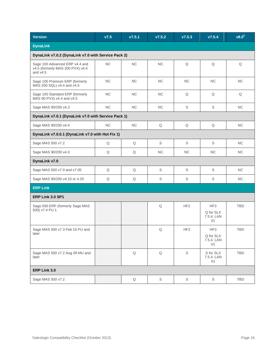| <b>Version</b>                                                                   | V7.5      | v7.5.1      | V7.5.2      | V7.5.3          | V7.5.4                               | v8.0 <sup>5</sup> |  |  |  |
|----------------------------------------------------------------------------------|-----------|-------------|-------------|-----------------|--------------------------------------|-------------------|--|--|--|
| <b>DynaLink</b>                                                                  |           |             |             |                 |                                      |                   |  |  |  |
| DynaLink v7.0.2 (DynaLink v7.0 with Service Pack 2)                              |           |             |             |                 |                                      |                   |  |  |  |
| Sage 100 Advanced ERP v4.4 and<br>v4.5 (formerly MAS 200 PVX) v4.4<br>and $v4.5$ | NC        | <b>NC</b>   | <b>NC</b>   | Q               | Q                                    | Q                 |  |  |  |
| Sage 100 Premium ERP (formerly<br>MAS 200 SQL) v4.4 and v4.5                     | NC        | <b>NC</b>   | NC          | NC              | $\rm NC$                             | NC                |  |  |  |
| Sage 100 Standard ERP (formerly<br>MAS 90 PVX) v4.4 and v4.5                     | <b>NC</b> | <b>NC</b>   | <b>NC</b>   | Q               | Q                                    | Q                 |  |  |  |
| Sage MAS 90/200 v4.3                                                             | NC        | <b>NC</b>   | <b>NC</b>   | $\mathbb S$     | S                                    | <b>NC</b>         |  |  |  |
| DynaLink v7.0.1 (DynaLink v7.0 with Service Pack 1)                              |           |             |             |                 |                                      |                   |  |  |  |
| Sage MAS 90/200 v4.4                                                             | NC        | <b>NC</b>   | Q           | Q               | Q                                    | <b>NC</b>         |  |  |  |
| DynaLink v7.0.0.1 (DynaLink v7.0 with Hot Fix 1)                                 |           |             |             |                 |                                      |                   |  |  |  |
| Sage MAS 500 v7.2                                                                | Q         | Q           | $\mathbb S$ | $\mathbb S$     | S                                    | NC                |  |  |  |
| Sage MAS 90/200 v4.3                                                             | Q         | Q           | NC          | <b>NC</b>       | NC                                   | NC                |  |  |  |
| DynaLink v7.0                                                                    |           |             |             |                 |                                      |                   |  |  |  |
| Sage MAS 500 v7.0 and v7.05                                                      | Q         | Q           | $\mathbb S$ | S               | $\mathbb S$                          | NC                |  |  |  |
| Sage MAS 90/200 v4.10 or 4.20                                                    | Q         | Q           | $\mathbb S$ | $\mathbb S$     | $\mathbb S$                          | NC                |  |  |  |
| <b>ERP Link</b>                                                                  |           |             |             |                 |                                      |                   |  |  |  |
| ERP Link 3.0 SP1                                                                 |           |             |             |                 |                                      |                   |  |  |  |
| Sage 500 ERP (formerly Sage MAS<br>500) v7.4 PU 1                                |           |             | $\mathsf Q$ | HF <sub>2</sub> | HF3<br>Q for SLX<br>7.5.4. LAN<br>01 | <b>TBD</b>        |  |  |  |
| Sage MAS 500 v7.3 Feb 10 PU and<br>later                                         |           |             | $\mathsf Q$ | HF <sub>2</sub> | HF3<br>Q for SLX<br>7.5.4. LAN<br>01 | <b>TBD</b>        |  |  |  |
| Sage MAS 500 v7.2 Aug 09 MU and<br>later                                         |           | $\mathsf Q$ | $\mathsf Q$ | $\mathbb S$     | S for SLX<br>7.5.4. LAN<br>01        | <b>TBD</b>        |  |  |  |
| ERP Link 3.0                                                                     |           |             |             |                 |                                      |                   |  |  |  |
| Sage MAS 500 v7.2                                                                |           | Q           | S           | $\mathbb S$     | S                                    | TBD               |  |  |  |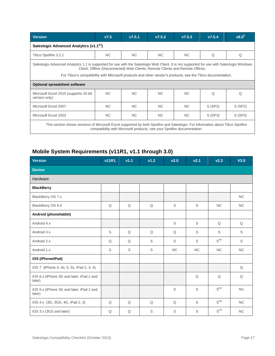| <b>Version</b>                                                                                                                                                                                                                                                                                                                              | V7.5      | V7.5.1    | V7.5.2    | V7.5.3         | V7.5.4 | $v8.0^5$ |  |  |  |  |
|---------------------------------------------------------------------------------------------------------------------------------------------------------------------------------------------------------------------------------------------------------------------------------------------------------------------------------------------|-----------|-----------|-----------|----------------|--------|----------|--|--|--|--|
| Saleslogix Advanced Analytics (v1.1 <sup>23</sup> )                                                                                                                                                                                                                                                                                         |           |           |           |                |        |          |  |  |  |  |
| Tibco Spotfire 3.2.1                                                                                                                                                                                                                                                                                                                        | <b>NC</b> | <b>NC</b> | <b>NC</b> | NC.            | Q      | Q        |  |  |  |  |
| Saleslogix Advanced Analytics 1.1 is supported for use with the Saleslogix Web Client. It is not supported for use with Saleslogix Windows<br>Client, Offline (Disconnected) Web Clients, Remote Clients and Remote Offices.<br>For Tibco's compatibility with Microsoft products and other vendor's products, see the Tibco documentation. |           |           |           |                |        |          |  |  |  |  |
| <b>Optional spreadsheet software</b>                                                                                                                                                                                                                                                                                                        |           |           |           |                |        |          |  |  |  |  |
| Microsoft Excel 2010 (supports 32-bit)<br>version only)                                                                                                                                                                                                                                                                                     | <b>NC</b> | NC.       | NC.       | N <sub>C</sub> | Q      | O        |  |  |  |  |
| Microsoft Excel 2007                                                                                                                                                                                                                                                                                                                        | NC.       | NC.       | NC.       | NC.            | S(SP2) | S(SP2)   |  |  |  |  |
| Microsoft Excel 2003                                                                                                                                                                                                                                                                                                                        | <b>NC</b> | <b>NC</b> | <b>NC</b> | <b>NC</b>      | S(SP3) | S(SP3)   |  |  |  |  |
| This section shows versions of Microsoft Excel supported by both Spotfire and Saleslogix. For information about Tibco Spotfire<br>compatibility with Microsoft products, see your Spotfire documentation.                                                                                                                                   |           |           |           |                |        |          |  |  |  |  |

# <span id="page-16-0"></span>**Mobile System Requirements (v11R1, v1.1 through 3.0)**

| <b>Version</b>                                     | <b>v11R1</b> | v1.1 | v1.2        | v2.0        | v2.1      | V <sub>2.2</sub> | V3.0      |  |  |  |
|----------------------------------------------------|--------------|------|-------------|-------------|-----------|------------------|-----------|--|--|--|
| <b>Device</b>                                      |              |      |             |             |           |                  |           |  |  |  |
| Hardware                                           |              |      |             |             |           |                  |           |  |  |  |
| <b>BlackBerry</b>                                  |              |      |             |             |           |                  |           |  |  |  |
| BlackBerry OS 7.x                                  |              |      |             |             |           |                  | <b>NC</b> |  |  |  |
| BlackBerry OS 6.0                                  | Q            | Q    | Q           | $\mathbb S$ | S         | <b>NC</b>        | <b>NC</b> |  |  |  |
| Android (phone/tablet)                             |              |      |             |             |           |                  |           |  |  |  |
| Android 4.x                                        |              |      |             | S           | S         | Q                | Q         |  |  |  |
| Android 3.x                                        | S            | Q    | Q           | Q           | S         | S                | S         |  |  |  |
| Android 2.x                                        | Q            | Q    | $\mathbb S$ | $\mathbb S$ | S         | $S^{M3}$         | S         |  |  |  |
| Android 1.x                                        | S            | S    | $\mathbb S$ | NC          | <b>NC</b> | NC               | NC        |  |  |  |
| iOS (iPhone/iPad)                                  |              |      |             |             |           |                  |           |  |  |  |
| iOS 7 (iPhone 4, 4s, 5, 5s, iPad 2, 3, 4)          |              |      |             |             |           |                  | Q         |  |  |  |
| iOS 6.x (iPhone 3G and later, iPad 2 and<br>later) |              |      |             |             | Q         | Q                | Q         |  |  |  |
| iOS 5.x (iPhone 3G and later, iPad 2 and<br>later) |              |      |             | S           | S         | $S^{M3}$         | <b>NC</b> |  |  |  |
| iOS 4.x (3G, 3GS, 4G, iPad 2, 3)                   | Q            | Q    | Q           | Q           | S         | $S^{M3}$         | NC        |  |  |  |
| iOS 3.x (3GS and later)                            | Q            | Q    | S           | S           | S         | $S^{M3}$         | <b>NC</b> |  |  |  |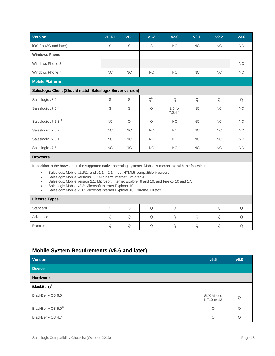| <b>Version</b>                                                                                                                                                                                                                                                                                                                                                                                                                                                       | <b>v11R1</b> | v1.1      | v1.2      | v2.0                         | v2.1      | V <sub>2.2</sub> | V3.0      |  |
|----------------------------------------------------------------------------------------------------------------------------------------------------------------------------------------------------------------------------------------------------------------------------------------------------------------------------------------------------------------------------------------------------------------------------------------------------------------------|--------------|-----------|-----------|------------------------------|-----------|------------------|-----------|--|
| iOS 2.x (3G and later)                                                                                                                                                                                                                                                                                                                                                                                                                                               | S            | S         | S         | <b>NC</b>                    | <b>NC</b> | <b>NC</b>        | <b>NC</b> |  |
| <b>Windows Phone</b>                                                                                                                                                                                                                                                                                                                                                                                                                                                 |              |           |           |                              |           |                  |           |  |
| Windows Phone 8                                                                                                                                                                                                                                                                                                                                                                                                                                                      |              |           |           |                              |           |                  | <b>NC</b> |  |
| Windows Phone 7                                                                                                                                                                                                                                                                                                                                                                                                                                                      | <b>NC</b>    | <b>NC</b> | <b>NC</b> | <b>NC</b>                    | <b>NC</b> | <b>NC</b>        | <b>NC</b> |  |
| <b>Mobile Platform</b>                                                                                                                                                                                                                                                                                                                                                                                                                                               |              |           |           |                              |           |                  |           |  |
| Saleslogix Client (Should match Saleslogix Server version)                                                                                                                                                                                                                                                                                                                                                                                                           |              |           |           |                              |           |                  |           |  |
| Saleslogix v8.0                                                                                                                                                                                                                                                                                                                                                                                                                                                      | S            | S         | $Q^{M1}$  | Q                            | Q         | Q                | Q         |  |
| Saleslogix v7.5.4                                                                                                                                                                                                                                                                                                                                                                                                                                                    | S            | S         | Q         | $2.0$ for<br>$7.5.4$ $^{M2}$ | <b>NC</b> | <b>NC</b>        | <b>NC</b> |  |
| Saleslogix v7.5.3 <sup>14</sup>                                                                                                                                                                                                                                                                                                                                                                                                                                      | <b>NC</b>    | Q         | Q         | <b>NC</b>                    | <b>NC</b> | <b>NC</b>        | <b>NC</b> |  |
| Saleslogix v7.5.2                                                                                                                                                                                                                                                                                                                                                                                                                                                    | <b>NC</b>    | <b>NC</b> | <b>NC</b> | <b>NC</b>                    | <b>NC</b> | <b>NC</b>        | <b>NC</b> |  |
| Saleslogix v7.5.1                                                                                                                                                                                                                                                                                                                                                                                                                                                    | <b>NC</b>    | <b>NC</b> | <b>NC</b> | <b>NC</b>                    | <b>NC</b> | <b>NC</b>        | <b>NC</b> |  |
| Saleslogix v7.5                                                                                                                                                                                                                                                                                                                                                                                                                                                      | <b>NC</b>    | <b>NC</b> | <b>NC</b> | <b>NC</b>                    | <b>NC</b> | <b>NC</b>        | <b>NC</b> |  |
| <b>Browsers</b>                                                                                                                                                                                                                                                                                                                                                                                                                                                      |              |           |           |                              |           |                  |           |  |
| In addition to the browsers in the supported native operating systems, Mobile is compatible with the following:<br>Saleslogix Mobile $v11R1$ , and $v1.1 - 2.1$ : most HTML5-compatible browsers.<br>$\bullet$<br>Saleslogix Mobile versions 1.1: Microsoft Internet Explorer 9.<br>$\bullet$<br>Saleslogix Mobile version 2.1: Microsoft Internet Explorer 9 and 10, and Firefox 10 and 17.<br>Saleslogix Mobile v2.2: Microsoft Internet Explorer 10.<br>$\bullet$ |              |           |           |                              |           |                  |           |  |

Saleslogix Mobile v3.0: Microsoft Internet Explorer 10, Chrome, Firefox.

| <b>License Types</b> |   |   |  |   |   |  |
|----------------------|---|---|--|---|---|--|
| Standard             | U | U |  | O | U |  |
| Advanced             | Q |   |  | U | W |  |
| Premier              | U |   |  | w | W |  |

# **Mobile System Requirements (v5.6 and later)**

| <b>Version</b>                  | v5.6                            | v6.0 |
|---------------------------------|---------------------------------|------|
| <b>Device</b>                   |                                 |      |
| Hardware                        |                                 |      |
| <b>BlackBerry</b> <sup>9</sup>  |                                 |      |
| BlackBerry OS 6.0               | <b>SLX Mobile</b><br>HF10 or 12 | Q    |
| BlackBerry OS 5.0 <sup>10</sup> | Q                               | Q    |
| BlackBerry OS 4.7               | Q                               | Q    |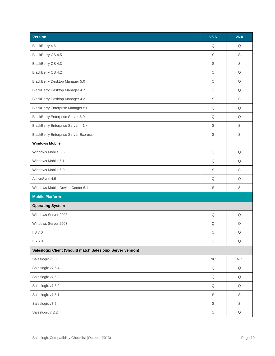| <b>Version</b>                                             | v5.6        | v6.0        |  |  |
|------------------------------------------------------------|-------------|-------------|--|--|
| BlackBerry 4.6                                             | Q           | Q           |  |  |
| BlackBerry OS 4.5                                          | $\mathbb S$ | $\mathbb S$ |  |  |
| BlackBerry OS 4.3                                          |             | $\mathbb S$ |  |  |
| BlackBerry OS 4.2                                          | Q           | Q           |  |  |
| BlackBerry Desktop Manager 5.0                             | Q           | Q           |  |  |
| BlackBerry Desktop Manager 4.7                             | Q           | Q           |  |  |
| BlackBerry Desktop Manager 4.2                             | S           | S           |  |  |
| BlackBerry Enterprise Manager 5.0                          | Q           | Q           |  |  |
| <b>BlackBerry Enterprise Server 5.0</b>                    | Q           | Q           |  |  |
| <b>BlackBerry Enterprise Server 4.1.x</b>                  | S           | S           |  |  |
| <b>BlackBerry Enterprise Server Express</b>                | $\mathbb S$ | $\mathbb S$ |  |  |
| <b>Windows Mobile</b>                                      |             |             |  |  |
| Windows Mobile 6.5                                         | Q           | Q           |  |  |
| Windows Mobile 6.1                                         | Q           | Q           |  |  |
| Windows Mobile 6.0                                         | S           | S           |  |  |
| ActiveSync 4.5                                             | Q           | Q           |  |  |
| Windows Mobile Device Center 6.1                           | S           | S           |  |  |
| <b>Mobile Platform</b>                                     |             |             |  |  |
| <b>Operating System</b>                                    |             |             |  |  |
| Windows Server 2008                                        | Q           | Q           |  |  |
| Windows Server 2003                                        | Q           | Q           |  |  |
| <b>IIS 7.0</b>                                             | Q           | Q           |  |  |
| <b>IIS 6.0</b>                                             | $\mathsf Q$ | $\mathsf Q$ |  |  |
| Saleslogix Client (Should match Saleslogix Server version) |             |             |  |  |
| Saleslogix v8.0                                            | NC          | ${\sf NC}$  |  |  |
| Saleslogix v7.5.4                                          | Q           | Q           |  |  |
| Saleslogix v7.5.3                                          | $\mathsf Q$ | $\mathsf Q$ |  |  |
| Saleslogix v7.5.2                                          | $\mathsf Q$ | $\mathsf Q$ |  |  |
| Saleslogix v7.5.1                                          | $\mathbb S$ | $\mathbb S$ |  |  |
| Saleslogix v7.5                                            | $\mathbb S$ | $\mathbb S$ |  |  |
| Saleslogix 7.2.2                                           | $\mathsf Q$ | $\mathsf Q$ |  |  |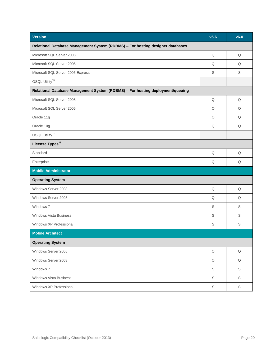| <b>Version</b>                                                                 | v5.6        | v6.0        |  |  |  |
|--------------------------------------------------------------------------------|-------------|-------------|--|--|--|
| Relational Database Management System (RDBMS) - For hosting designer databases |             |             |  |  |  |
| Microsoft SQL Server 2008                                                      | Q           | Q           |  |  |  |
| Microsoft SQL Server 2005                                                      | Q           | Q           |  |  |  |
| Microsoft SQL Server 2005 Express                                              | S           | S           |  |  |  |
| OSQL Utility <sup>13</sup>                                                     |             |             |  |  |  |
| Relational Database Management System (RDBMS) - For hosting deployment/queuing |             |             |  |  |  |
| Microsoft SQL Server 2008                                                      | Q           | Q           |  |  |  |
| Microsoft SQL Server 2005                                                      | Q           | Q           |  |  |  |
| Oracle 11g                                                                     | Q           | Q           |  |  |  |
| Oracle 10g                                                                     | Q           | Q           |  |  |  |
| OSQL Utility <sup>13</sup>                                                     |             |             |  |  |  |
| License Types <sup>13</sup>                                                    |             |             |  |  |  |
| Standard                                                                       | Q           | Q           |  |  |  |
| Enterprise                                                                     | Q           | Q           |  |  |  |
| <b>Mobile Administrator</b>                                                    |             |             |  |  |  |
| <b>Operating System</b>                                                        |             |             |  |  |  |
| Windows Server 2008                                                            | Q           | Q           |  |  |  |
| Windows Server 2003                                                            | Q           | Q           |  |  |  |
| Windows 7                                                                      | S           | S           |  |  |  |
| <b>Windows Vista Business</b>                                                  | S           | $\mathbb S$ |  |  |  |
| Windows XP Professional                                                        | S           | S           |  |  |  |
| <b>Mobile Architect</b>                                                        |             |             |  |  |  |
| <b>Operating System</b>                                                        |             |             |  |  |  |
| Windows Server 2008                                                            | $\mathsf Q$ | $\mathsf Q$ |  |  |  |
| Windows Server 2003                                                            | $\mathsf Q$ | $\mathsf Q$ |  |  |  |
| Windows 7                                                                      | $\mathbb S$ | $\mathbb S$ |  |  |  |
| <b>Windows Vista Business</b>                                                  | S           | S           |  |  |  |
| Windows XP Professional                                                        | $\mathbb S$ | $\mathbb S$ |  |  |  |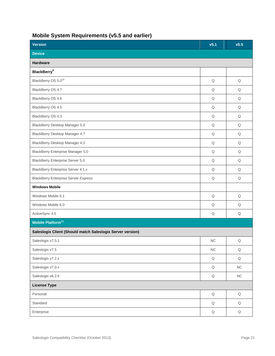# <span id="page-20-0"></span>**Mobile System Requirements (v5.5 and earlier)**

| <b>Version</b>                                             | v5.1        | v5.5        |  |  |  |
|------------------------------------------------------------|-------------|-------------|--|--|--|
| <b>Device</b>                                              |             |             |  |  |  |
| Hardware                                                   |             |             |  |  |  |
| <b>BlackBerry</b> <sup>9</sup>                             |             |             |  |  |  |
| BlackBerry OS 5.0 <sup>10</sup>                            | Q           | Q           |  |  |  |
| BlackBerry OS 4.7                                          | Q           | Q           |  |  |  |
| BlackBerry OS 4.6                                          | Q           | Q           |  |  |  |
| BlackBerry OS 4.5                                          | Q           | Q           |  |  |  |
| BlackBerry OS 4.3                                          | Q           | Q           |  |  |  |
| BlackBerry Desktop Manager 5.0                             | Q           | Q           |  |  |  |
| BlackBerry Desktop Manager 4.7                             | Q           | Q           |  |  |  |
| BlackBerry Desktop Manager 4.2                             | Q           | Q           |  |  |  |
| BlackBerry Enterprise Manager 5.0                          | $\mathsf Q$ | $\mathsf Q$ |  |  |  |
| <b>BlackBerry Enterprise Server 5.0</b>                    | Q           | Q           |  |  |  |
| <b>BlackBerry Enterprise Server 4.1.x</b>                  | Q           | Q           |  |  |  |
| <b>BlackBerry Enterprise Server Express</b>                | Q           | Q           |  |  |  |
| <b>Windows Mobile</b>                                      |             |             |  |  |  |
| Windows Mobile 6.1                                         | Q           | Q           |  |  |  |
| Windows Mobile 6.0                                         | Q           | Q           |  |  |  |
| ActiveSync 4.5                                             | Q           | Q           |  |  |  |
| Mobile Platform <sup>11</sup>                              |             |             |  |  |  |
| Saleslogix Client (Should match Saleslogix Server version) |             |             |  |  |  |
| Saleslogix v7.5.1                                          | ${\sf NC}$  | $\mathsf Q$ |  |  |  |
| Saleslogix v7.5                                            | ${\sf NC}$  | $\mathsf Q$ |  |  |  |
| Saleslogix v7.2.x                                          | $\mathsf Q$ | $\mathsf Q$ |  |  |  |
| Saleslogix v7.0.x                                          | $\mathsf Q$ | ${\sf NC}$  |  |  |  |
| Saleslogix v6.2.6                                          | $\mathsf Q$ | ${\sf NC}$  |  |  |  |
| <b>License Type</b>                                        |             |             |  |  |  |
| Personal                                                   | $\mathsf Q$ | $\mathsf Q$ |  |  |  |
| Standard                                                   | $\mathsf Q$ | $\mathsf Q$ |  |  |  |
| Enterprise                                                 | $\mathsf Q$ | $\mathsf Q$ |  |  |  |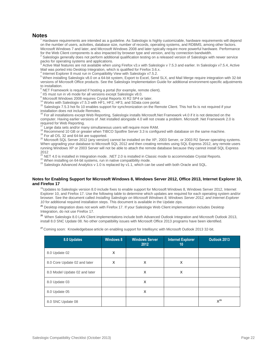### **Notes**

Hardware requirements are intended as a quideline. As Saleslogix is highly customizable, hardware requirements will depend on the number of users, activities, database size, number of records, operating systems, and RDBMS, among other factors. Microsoft Windows 7 and later, and Microsoft Windows 2008 and later typically require more powerful hardware. Performance for the Web Client components is also impacted by browser type and version, and by connection bandwidth.

<sup>2</sup> Saleslogix generally does not perform additional qualification testing on a released version of Saleslogix with newer service packs for operating systems and applications.

Active Mail features are not available when using Firefox v3.x with Saleslogix v 7.5.3 and earlier. In Saleslogix v 7.5.4, Active Mail was ported into Desktop Integration, which is qualified for Firefox 3.6.x.

<sup>4</sup> Internet Explorer 8 must run in Compatibility View with Saleslogix v7.5.2.

<sup>5</sup> When installing Saleslogix v8.0 on a 64-bit system, Export to Excel, Send SLX, and Mail Merge require integration with 32-bit versions of Microsoft Office products. See the Saleslogix Implementation Guide for additional environment-specific adjustments to installation.

NET Framework is required if hosting a portal (for example, remote client).

<sup>7</sup> IIS must run in v6 mode for all versions except Saleslogix v8.0.

<sup>8</sup> Microsoft Windows 2008 requires Crystal Reports XI R2 SP4 or later.

<sup>14</sup> Works with Saleslogix v7.5.3 with HF1, HF2, HF3, and SData core portal.

<sup>15</sup> Saleslogix 7.5.3 hot fix 10 enables support for synchronization on the Remote Client. This hot fix is not required if your installation does not include Remotes.

<sup>16</sup> For all installations except Web Reporting, Saleslogix installs Microsoft.Net Framework v4.0 if it is not detected on the computer. Having earlier versions of .Net installed alongside 4.0 will not create a problem. Microsoft .Net Framework 2.0 is required for Web Reporting.

Large data sets and/or many simultaneous users will require more RAM.

<sup>18</sup> Recommend 10 GB or greater when TIBCO Spotfire Server 3.3 is configured with database on the same machine.

<sup>19</sup> For all OS, 32 and 64-bit are supported.

<sup>20</sup> Microsoft SQL Server 2012 (any version) cannot be installed on the XP, 2003 Server, or 2003 R2 Server operating systems. When upgrading your database to Microsoft SQL 2012 and then creating remotes using SQL Express 2012, any remote users running Windows XP or 2003 Server will not be able to attach the remote database because they cannot install SQL Express 2012

<sup>21</sup> NET 4.0 is installed in Integration mode. .NET 2.0 is installed in Classic mode to accommodate Crystal Reports.

<sup>22</sup> When installing on 64-bit systems, run in native compatibility mode.

<sup>23</sup> Saleslogix Advanced Analytics v 1.0 is replaced by v1.1, which can be used with both Oracle and SQL.

#### <span id="page-21-0"></span>**Notes for Enabling Support for Microsoft Windows 8, Windows Server 2012, Office 2013, Internet Explorer 10, and Firefox 17**

 $24$ Updates to Saleslogix version 8.0 include fixes to enable support for Microsoft Windows 8, Windows Server 2012, Internet Explorer 10, and Firefox 17. Use the following table to determine which updates are required for each operating system and/or browser. See the document called *Installing Saleslogix on Microsoft Windows 8, Windows Server 2012, and Internet Explorer 10* for additional required installation steps. This document is available in the Update zips.

**<sup>25</sup>** Desktop integration does not work with Firefox 17. If your Saleslogix Web Client implementation includes Desktop Integration, do not use Firefox 17.

<sup>26</sup> When Saleslogix 8.0 LAN Client implementations include both Advanced Outlook Integration and Microsoft Outlook 2013, install 8.0 SNC Update 08. No other compatibility issues with Microsoft Office 2013 programs have been identified.

**<sup>27</sup>**Coming soon: Knowledgebase article on enabling support for Intellisync with Microsoft Outlook 2013 32-bit.

| 8.0 Updates                   | <b>Windows 8</b> | <b>Windows Server</b><br>2012 | <b>Internet Explorer</b><br>10 | Outlook 2013 |
|-------------------------------|------------------|-------------------------------|--------------------------------|--------------|
| 8.0 Update 02                 | X                |                               |                                |              |
| 8.0 Core Update 02 and later  | X                | X                             | X                              |              |
| 8.0 Model Update 02 and later |                  | X                             | X                              |              |
| 8.0 Update 03                 |                  | X                             |                                |              |
| 8.0 Update 05                 |                  | X                             |                                |              |
| 8.0 SNC Update 08             |                  |                               |                                | $X^{26}$     |